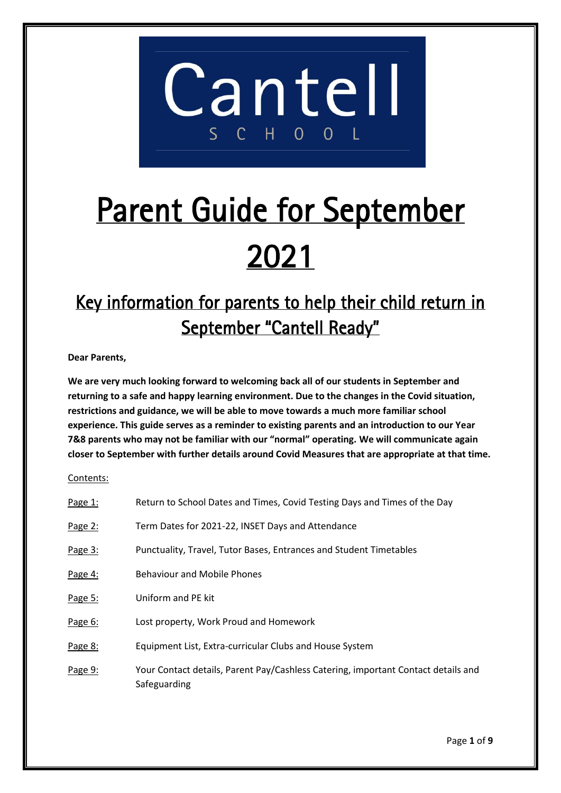

# Parent Guide for September 2021

# Key information for parents to help their child return in September "Cantell Ready"

**Dear Parents,**

**We are very much looking forward to welcoming back all of our students in September and returning to a safe and happy learning environment. Due to the changes in the Covid situation, restrictions and guidance, we will be able to move towards a much more familiar school experience. This guide serves as a reminder to existing parents and an introduction to our Year 7&8 parents who may not be familiar with our "normal" operating. We will communicate again closer to September with further details around Covid Measures that are appropriate at that time.**

Contents:

| Page 1:   | Return to School Dates and Times, Covid Testing Days and Times of the Day                         |
|-----------|---------------------------------------------------------------------------------------------------|
| Page 2:   | Term Dates for 2021-22, INSET Days and Attendance                                                 |
| Page 3:   | Punctuality, Travel, Tutor Bases, Entrances and Student Timetables                                |
| Page 4:   | <b>Behaviour and Mobile Phones</b>                                                                |
| Page 5:   | Uniform and PE kit                                                                                |
| Page 6:   | Lost property, Work Proud and Homework                                                            |
| Page 8:   | Equipment List, Extra-curricular Clubs and House System                                           |
| Page $9:$ | Your Contact details, Parent Pay/Cashless Catering, important Contact details and<br>Safeguarding |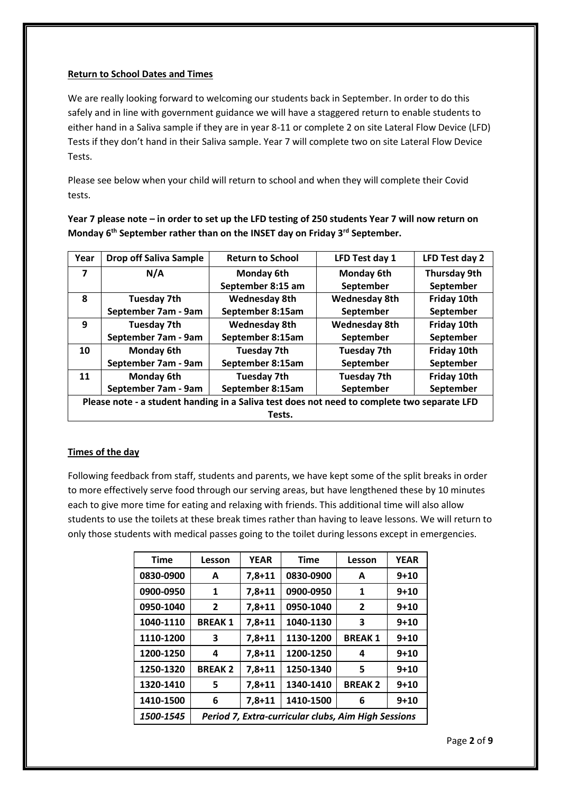# **Return to School Dates and Times**

We are really looking forward to welcoming our students back in September. In order to do this safely and in line with government guidance we will have a staggered return to enable students to either hand in a Saliva sample if they are in year 8-11 or complete 2 on site Lateral Flow Device (LFD) Tests if they don't hand in their Saliva sample. Year 7 will complete two on site Lateral Flow Device Tests.

Please see below when your child will return to school and when they will complete their Covid tests.

**Year 7 please note – in order to set up the LFD testing of 250 students Year 7 will now return on Monday 6th September rather than on the INSET day on Friday 3rd September.**

| Year                                                                                        | <b>Drop off Saliva Sample</b> | <b>Return to School</b> | LFD Test day 1       | LFD Test day 2      |
|---------------------------------------------------------------------------------------------|-------------------------------|-------------------------|----------------------|---------------------|
| $\overline{\mathbf{z}}$                                                                     | N/A                           | <b>Monday 6th</b>       | Monday 6th           | <b>Thursday 9th</b> |
|                                                                                             |                               | September 8:15 am       | September            | September           |
| 8                                                                                           | <b>Tuesday 7th</b>            | <b>Wednesday 8th</b>    | <b>Wednesday 8th</b> | Friday 10th         |
|                                                                                             | September 7am - 9am           | September 8:15am        | September            | September           |
| 9                                                                                           | <b>Tuesday 7th</b>            | <b>Wednesday 8th</b>    | <b>Wednesday 8th</b> | Friday 10th         |
|                                                                                             | September 7am - 9am           | September 8:15am        | September            | September           |
| 10                                                                                          | <b>Monday 6th</b>             | <b>Tuesday 7th</b>      | <b>Tuesday 7th</b>   | Friday 10th         |
|                                                                                             | September 7am - 9am           | September 8:15am        | September            | September           |
| 11                                                                                          | <b>Monday 6th</b>             | <b>Tuesday 7th</b>      | <b>Tuesday 7th</b>   | Friday 10th         |
|                                                                                             | September 7am - 9am           | September 8:15am        | September            | September           |
| Please note - a student handing in a Saliva test does not need to complete two separate LFD |                               |                         |                      |                     |
| Tests.                                                                                      |                               |                         |                      |                     |

# **Times of the day**

Following feedback from staff, students and parents, we have kept some of the split breaks in order to more effectively serve food through our serving areas, but have lengthened these by 10 minutes each to give more time for eating and relaxing with friends. This additional time will also allow students to use the toilets at these break times rather than having to leave lessons. We will return to only those students with medical passes going to the toilet during lessons except in emergencies.

| <b>Time</b> | Lesson                                              | <b>YEAR</b> | <b>Time</b> | Lesson        | <b>YEAR</b> |
|-------------|-----------------------------------------------------|-------------|-------------|---------------|-------------|
| 0830-0900   | A                                                   | $7,8 + 11$  | 0830-0900   | A             | $9 + 10$    |
| 0900-0950   | 1                                                   | $7,8+11$    | 0900-0950   | 1             | $9 + 10$    |
| 0950-1040   | $\overline{2}$                                      | $7,8 + 11$  | 0950-1040   | 2             | $9 + 10$    |
| 1040-1110   | <b>BREAK1</b>                                       | $7,8 + 11$  | 1040-1130   | 3             | $9 + 10$    |
| 1110-1200   | 3                                                   | $7,8 + 11$  | 1130-1200   | <b>BREAK1</b> | $9 + 10$    |
| 1200-1250   | 4                                                   | $7,8 + 11$  | 1200-1250   | 4             | $9 + 10$    |
| 1250-1320   | <b>BREAK 2</b>                                      | $7,8 + 11$  | 1250-1340   | 5             | $9 + 10$    |
| 1320-1410   | 5                                                   | $7,8 + 11$  | 1340-1410   | <b>BREAK2</b> | $9 + 10$    |
| 1410-1500   | 6                                                   | $7,8+11$    | 1410-1500   | 6             | $9 + 10$    |
| 1500-1545   | Period 7, Extra-curricular clubs, Aim High Sessions |             |             |               |             |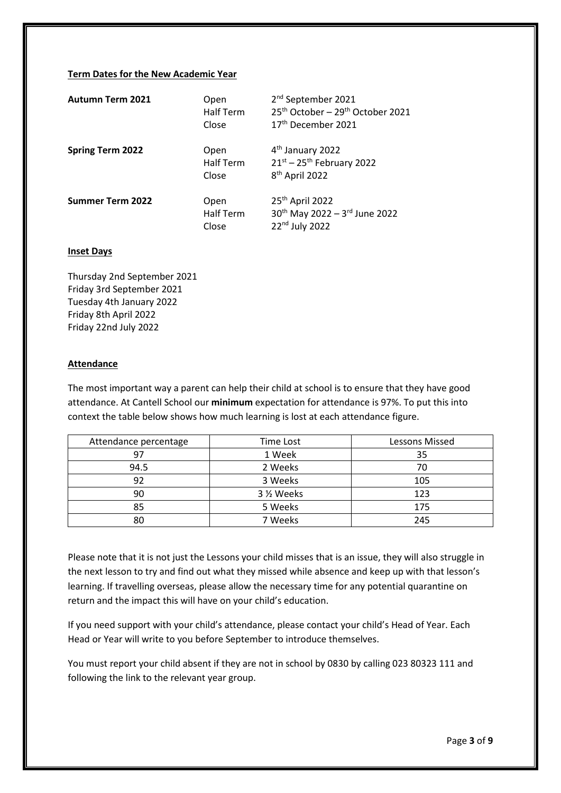#### **Term Dates for the New Academic Year**

| <b>Autumn Term 2021</b> | Open<br><b>Half Term</b><br>Close | 2 <sup>nd</sup> September 2021<br>25 <sup>th</sup> October - 29 <sup>th</sup> October 2021<br>17 <sup>th</sup> December 2021 |
|-------------------------|-----------------------------------|------------------------------------------------------------------------------------------------------------------------------|
| <b>Spring Term 2022</b> | Open<br><b>Half Term</b><br>Close | 4 <sup>th</sup> January 2022<br>$21^{st}$ – 25 <sup>th</sup> February 2022<br>8 <sup>th</sup> April 2022                     |
| <b>Summer Term 2022</b> | Open<br><b>Half Term</b><br>Close | 25th April 2022<br>30 <sup>th</sup> May 2022 - 3rd June 2022<br>22 <sup>nd</sup> July 2022                                   |

#### **Inset Days**

Thursday 2nd September 2021 Friday 3rd September 2021 Tuesday 4th January 2022 Friday 8th April 2022 Friday 22nd July 2022

#### **Attendance**

The most important way a parent can help their child at school is to ensure that they have good attendance. At Cantell School our **minimum** expectation for attendance is 97%. To put this into context the table below shows how much learning is lost at each attendance figure.

| Attendance percentage | Time Lost | Lessons Missed |  |
|-----------------------|-----------|----------------|--|
| 97                    | 1 Week    | 35             |  |
| 94.5                  | 2 Weeks   | 70             |  |
| 92                    | 3 Weeks   | 105            |  |
| 90                    | 3 % Weeks | 123            |  |
| 85                    | 5 Weeks   | 175            |  |
| 80                    | 7 Weeks   | 245            |  |

Please note that it is not just the Lessons your child misses that is an issue, they will also struggle in the next lesson to try and find out what they missed while absence and keep up with that lesson's learning. If travelling overseas, please allow the necessary time for any potential quarantine on return and the impact this will have on your child's education.

If you need support with your child's attendance, please contact your child's Head of Year. Each Head or Year will write to you before September to introduce themselves.

You must report your child absent if they are not in school by 0830 by calling 023 80323 111 and following the link to the relevant year group.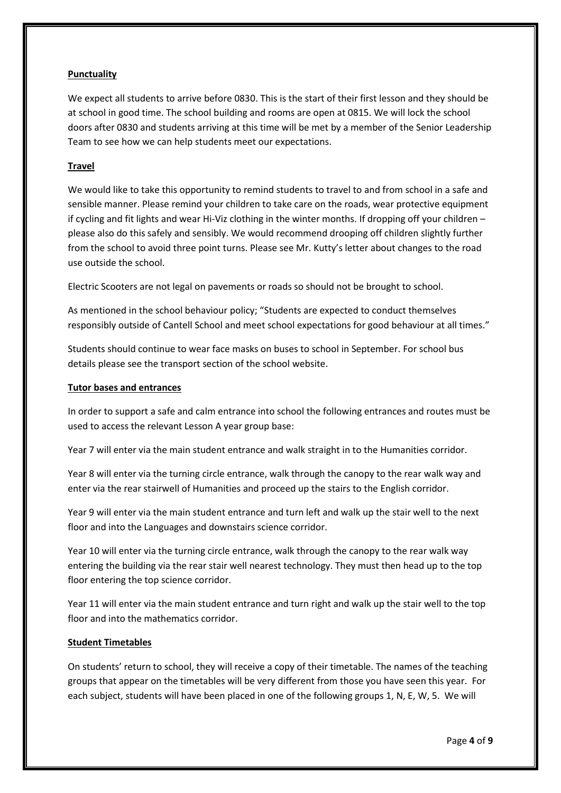# **Punctuality**

We expect all students to arrive before 0830. This is the start of their first lesson and they should be at school in good time. The school building and rooms are open at 0815. We will lock the school doors after 0830 and students arriving at this time will be met by a member of the Senior Leadership Team to see how we can help students meet our expectations.

# **Travel**

We would like to take this opportunity to remind students to travel to and from school in a safe and sensible manner. Please remind your children to take care on the roads, wear protective equipment if cycling and fit lights and wear Hi-Viz clothing in the winter months. If dropping off your children – please also do this safely and sensibly. We would recommend drooping off children slightly further from the school to avoid three point turns. Please see Mr. Kutty's letter about changes to the road use outside the school.

Electric Scooters are not legal on pavements or roads so should not be brought to school.

As mentioned in the school behaviour policy; "Students are expected to conduct themselves responsibly outside of Cantell School and meet school expectations for good behaviour at all times."

Students should continue to wear face masks on buses to school in September. For school bus details please see the transport section of the school website.

# **Tutor bases and entrances**

In order to support a safe and calm entrance into school the following entrances and routes must be used to access the relevant Lesson A year group base:

Year 7 will enter via the main student entrance and walk straight in to the Humanities corridor.

Year 8 will enter via the turning circle entrance, walk through the canopy to the rear walk way and enter via the rear stairwell of Humanities and proceed up the stairs to the English corridor.

Year 9 will enter via the main student entrance and turn left and walk up the stair well to the next floor and into the Languages and downstairs science corridor.

Year 10 will enter via the turning circle entrance, walk through the canopy to the rear walk way entering the building via the rear stair well nearest technology. They must then head up to the top floor entering the top science corridor.

Year 11 will enter via the main student entrance and turn right and walk up the stair well to the top floor and into the mathematics corridor.

# **Student Timetables**

On students' return to school, they will receive a copy of their timetable. The names of the teaching groups that appear on the timetables will be very different from those you have seen this year. For each subject, students will have been placed in one of the following groups 1, N, E, W, 5. We will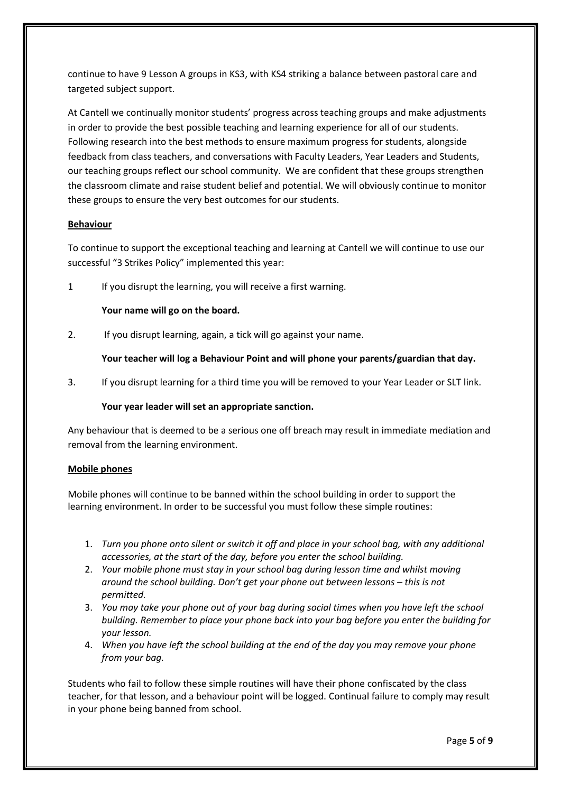continue to have 9 Lesson A groups in KS3, with KS4 striking a balance between pastoral care and targeted subject support.

At Cantell we continually monitor students' progress across teaching groups and make adjustments in order to provide the best possible teaching and learning experience for all of our students. Following research into the best methods to ensure maximum progress for students, alongside feedback from class teachers, and conversations with Faculty Leaders, Year Leaders and Students, our teaching groups reflect our school community. We are confident that these groups strengthen the classroom climate and raise student belief and potential. We will obviously continue to monitor these groups to ensure the very best outcomes for our students.

# **Behaviour**

To continue to support the exceptional teaching and learning at Cantell we will continue to use our successful "3 Strikes Policy" implemented this year:

1 If you disrupt the learning, you will receive a first warning.

# **Your name will go on the board.**

2. If you disrupt learning, again, a tick will go against your name.

# **Your teacher will log a Behaviour Point and will phone your parents/guardian that day.**

3. If you disrupt learning for a third time you will be removed to your Year Leader or SLT link.

# **Your year leader will set an appropriate sanction.**

Any behaviour that is deemed to be a serious one off breach may result in immediate mediation and removal from the learning environment.

# **Mobile phones**

Mobile phones will continue to be banned within the school building in order to support the learning environment. In order to be successful you must follow these simple routines:

- 1. *Turn you phone onto silent or switch it off and place in your school bag, with any additional accessories, at the start of the day, before you enter the school building.*
- 2. *Your mobile phone must stay in your school bag during lesson time and whilst moving around the school building. Don't get your phone out between lessons – this is not permitted.*
- 3. *You may take your phone out of your bag during social times when you have left the school building. Remember to place your phone back into your bag before you enter the building for your lesson.*
- 4. *When you have left the school building at the end of the day you may remove your phone from your bag.*

Students who fail to follow these simple routines will have their phone confiscated by the class teacher, for that lesson, and a behaviour point will be logged. Continual failure to comply may result in your phone being banned from school.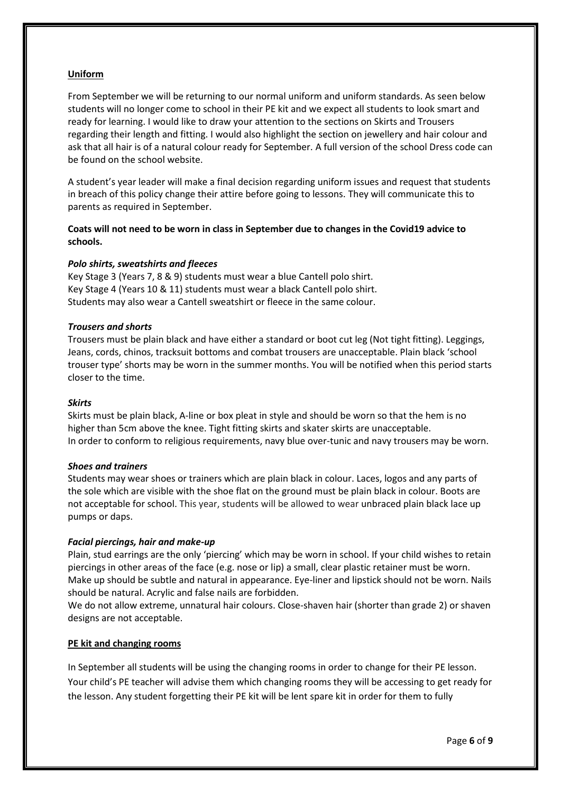# **Uniform**

From September we will be returning to our normal uniform and uniform standards. As seen below students will no longer come to school in their PE kit and we expect all students to look smart and ready for learning. I would like to draw your attention to the sections on Skirts and Trousers regarding their length and fitting. I would also highlight the section on jewellery and hair colour and ask that all hair is of a natural colour ready for September. A full version of the school Dress code can be found on the school website.

A student's year leader will make a final decision regarding uniform issues and request that students in breach of this policy change their attire before going to lessons. They will communicate this to parents as required in September.

**Coats will not need to be worn in class in September due to changes in the Covid19 advice to schools.**

# *Polo shirts, sweatshirts and fleeces*

Key Stage 3 (Years 7, 8 & 9) students must wear a blue Cantell polo shirt. Key Stage 4 (Years 10 & 11) students must wear a black Cantell polo shirt. Students may also wear a Cantell sweatshirt or fleece in the same colour.

#### *Trousers and shorts*

Trousers must be plain black and have either a standard or boot cut leg (Not tight fitting). Leggings, Jeans, cords, chinos, tracksuit bottoms and combat trousers are unacceptable. Plain black 'school trouser type' shorts may be worn in the summer months. You will be notified when this period starts closer to the time.

#### *Skirts*

Skirts must be plain black, A-line or box pleat in style and should be worn so that the hem is no higher than 5cm above the knee. Tight fitting skirts and skater skirts are unacceptable. In order to conform to religious requirements, navy blue over-tunic and navy trousers may be worn.

#### *Shoes and trainers*

Students may wear shoes or trainers which are plain black in colour. Laces, logos and any parts of the sole which are visible with the shoe flat on the ground must be plain black in colour. Boots are not acceptable for school. This year, students will be allowed to wear unbraced plain black lace up pumps or daps.

# *Facial piercings, hair and make-up*

Plain, stud earrings are the only 'piercing' which may be worn in school. If your child wishes to retain piercings in other areas of the face (e.g. nose or lip) a small, clear plastic retainer must be worn. Make up should be subtle and natural in appearance. Eye-liner and lipstick should not be worn. Nails should be natural. Acrylic and false nails are forbidden.

We do not allow extreme, unnatural hair colours. Close-shaven hair (shorter than grade 2) or shaven designs are not acceptable.

# **PE kit and changing rooms**

In September all students will be using the changing rooms in order to change for their PE lesson. Your child's PE teacher will advise them which changing rooms they will be accessing to get ready for the lesson. Any student forgetting their PE kit will be lent spare kit in order for them to fully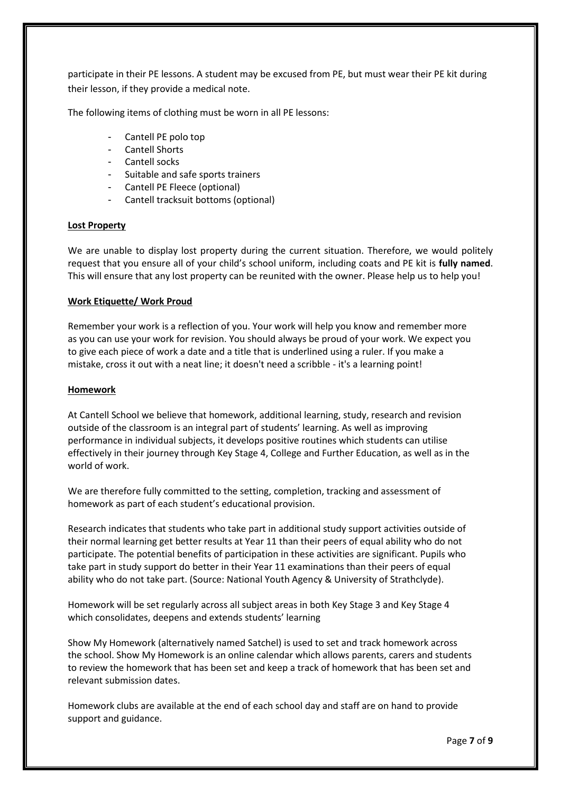participate in their PE lessons. A student may be excused from PE, but must wear their PE kit during their lesson, if they provide a medical note.

The following items of clothing must be worn in all PE lessons:

- Cantell PE polo top
- Cantell Shorts
- Cantell socks
- Suitable and safe sports trainers
- Cantell PE Fleece (optional)
- Cantell tracksuit bottoms (optional)

#### **Lost Property**

We are unable to display lost property during the current situation. Therefore, we would politely request that you ensure all of your child's school uniform, including coats and PE kit is **fully named**. This will ensure that any lost property can be reunited with the owner. Please help us to help you!

#### **Work Etiquette/ Work Proud**

Remember your work is a reflection of you. Your work will help you know and remember more as you can use your work for revision. You should always be proud of your work. We expect you to give each piece of work a date and a title that is underlined using a ruler. If you make a mistake, cross it out with a neat line; it doesn't need a scribble - it's a learning point!

#### **Homework**

At Cantell School we believe that homework, additional learning, study, research and revision outside of the classroom is an integral part of students' learning. As well as improving performance in individual subjects, it develops positive routines which students can utilise effectively in their journey through Key Stage 4, College and Further Education, as well as in the world of work.

We are therefore fully committed to the setting, completion, tracking and assessment of homework as part of each student's educational provision.

Research indicates that students who take part in additional study support activities outside of their normal learning get better results at Year 11 than their peers of equal ability who do not participate. The potential benefits of participation in these activities are significant. Pupils who take part in study support do better in their Year 11 examinations than their peers of equal ability who do not take part. (Source: National Youth Agency & University of Strathclyde).

Homework will be set regularly across all subject areas in both Key Stage 3 and Key Stage 4 which consolidates, deepens and extends students' learning

Show My Homework (alternatively named Satchel) is used to set and track homework across the school. Show My Homework is an online calendar which allows parents, carers and students to review the homework that has been set and keep a track of homework that has been set and relevant submission dates.

Homework clubs are available at the end of each school day and staff are on hand to provide support and guidance.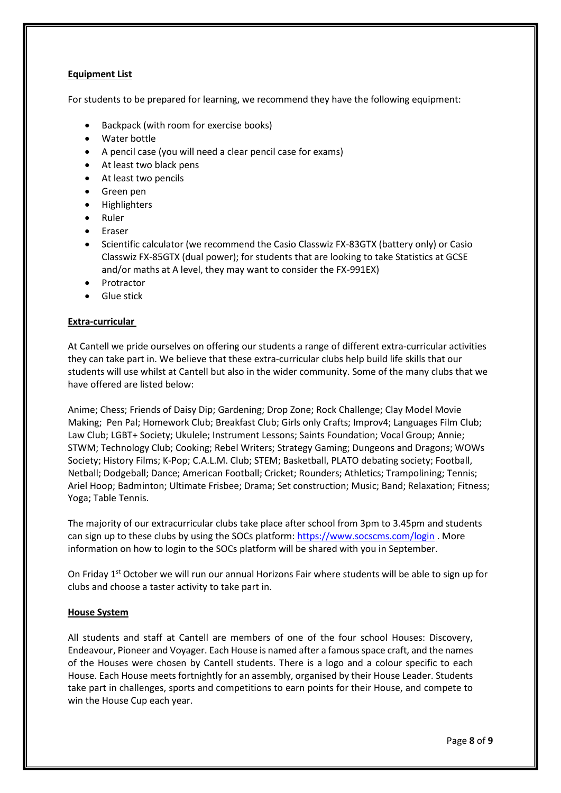# **Equipment List**

For students to be prepared for learning, we recommend they have the following equipment:

- Backpack (with room for exercise books)
- Water bottle
- A pencil case (you will need a clear pencil case for exams)
- At least two black pens
- At least two pencils
- Green pen
- Highlighters
- Ruler
- Eraser
- Scientific calculator (we recommend the Casio Classwiz FX-83GTX (battery only) or Casio Classwiz FX-85GTX (dual power); for students that are looking to take Statistics at GCSE and/or maths at A level, they may want to consider the FX-991EX)
- Protractor
- Glue stick

# **Extra-curricular**

At Cantell we pride ourselves on offering our students a range of different extra-curricular activities they can take part in. We believe that these extra-curricular clubs help build life skills that our students will use whilst at Cantell but also in the wider community. Some of the many clubs that we have offered are listed below:

Anime; Chess; Friends of Daisy Dip; Gardening; Drop Zone; Rock Challenge; Clay Model Movie Making; Pen Pal; Homework Club; Breakfast Club; Girls only Crafts; Improv4; Languages Film Club; Law Club; LGBT+ Society; Ukulele; Instrument Lessons; Saints Foundation; Vocal Group; Annie; STWM; Technology Club; Cooking; Rebel Writers; Strategy Gaming; Dungeons and Dragons; WOWs Society; History Films; K-Pop; C.A.L.M. Club; STEM; Basketball, PLATO debating society; Football, Netball; Dodgeball; Dance; American Football; Cricket; Rounders; Athletics; Trampolining; Tennis; Ariel Hoop; Badminton; Ultimate Frisbee; Drama; Set construction; Music; Band; Relaxation; Fitness; Yoga; Table Tennis.

The majority of our extracurricular clubs take place after school from 3pm to 3.45pm and students can sign up to these clubs by using the SOCs platform: <https://www.socscms.com/login> . More information on how to login to the SOCs platform will be shared with you in September.

On Friday 1<sup>st</sup> October we will run our annual Horizons Fair where students will be able to sign up for clubs and choose a taster activity to take part in.

# **House System**

All students and staff at Cantell are members of one of the four school Houses: Discovery, Endeavour, Pioneer and Voyager. Each House is named after a famous space craft, and the names of the Houses were chosen by Cantell students. There is a logo and a colour specific to each House. Each House meets fortnightly for an assembly, organised by their House Leader. Students take part in challenges, sports and competitions to earn points for their House, and compete to win the House Cup each year.